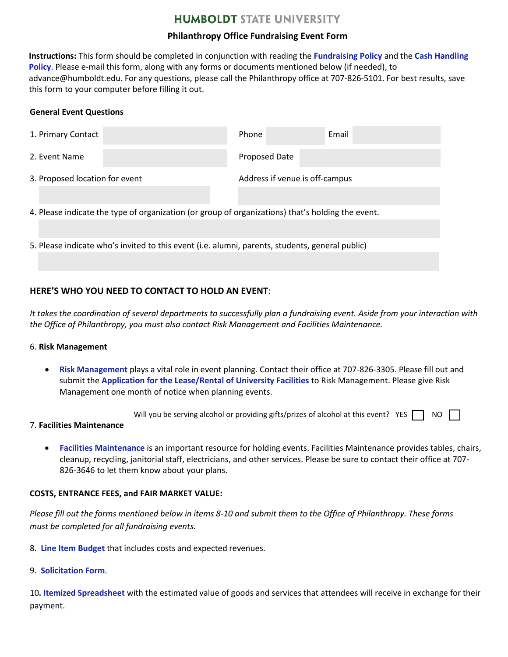# **HUMBOLDT STATE UNIVERSITY**

## **Philanthropy Office Fundraising Event Form**

**Instructions:** This form should be completed in conjunction with reading the **[Fundraising Policy](http://www2.humboldt.edu/advancement/docs/FundraisingEventGuidelines.pdf)** and the **[Cash Handling](http://www2.humboldt.edu/businessservices/sites/default/files/images/HSU%20Special%20Event%20Cash%20Handling%20Procedures%20June%202015.pdf) [Policy](http://www2.humboldt.edu/businessservices/sites/default/files/images/HSU%20Special%20Event%20Cash%20Handling%20Procedures%20June%202015.pdf)**. Please e-mail this form, along with any forms or documents mentioned below (if needed), to advance@humboldt.edu. For any questions, please call the Philanthropy office at 707-826-5101. For best results, save this form to your computer before filling it out.

### **General Event Questions**

| 1. Primary Contact                                                                                |  | Phone                          | Email |  |  |  |  |
|---------------------------------------------------------------------------------------------------|--|--------------------------------|-------|--|--|--|--|
| 2. Event Name                                                                                     |  | <b>Proposed Date</b>           |       |  |  |  |  |
| 3. Proposed location for event                                                                    |  | Address if venue is off-campus |       |  |  |  |  |
|                                                                                                   |  |                                |       |  |  |  |  |
| 4. Please indicate the type of organization (or group of organizations) that's holding the event. |  |                                |       |  |  |  |  |
|                                                                                                   |  |                                |       |  |  |  |  |
| 5. Please indicate who's invited to this event (i.e. alumni, parents, students, general public)   |  |                                |       |  |  |  |  |
|                                                                                                   |  |                                |       |  |  |  |  |

## **HERE'S WHO YOU NEED TO CONTACT TO HOLD AN EVENT**:

*It takes the coordination of several departments to successfully plan a fundraising event. Aside from your interaction with the Office of Philanthropy, you must also contact Risk Management and Facilities Maintenance.* 

#### 6. **Risk Management**

• **[Risk Management](http://www2.humboldt.edu/riskmgmt/)** plays a vital role in event planning. Contact their office at 707-826-3305. Please fill out and submit the **Application for the [Lease/Rental of University Facilities](https://www2.humboldt.edu/forms/sites/forms/files/RM%20-%20Application%20for%20Lease%20-%20Rental%20of%20University%20Facilities.pdf)** to Risk Management. Please give Risk Management one month of notice when planning events.

Will you be serving alcohol or providing gifts/prizes of alcohol at this event? YES  $\Box$  NO

#### 7. **Facilities Maintenance**

• **[Facilities Maintenance](http://www2.humboldt.edu/facilitymgmt/)** is an important resource for holding events. Facilities Maintenance provides tables, chairs, cleanup, recycling, janitorial staff, electricians, and other services. Please be sure to contact their office at 707- 826-3646 to let them know about your plans.

## **COSTS, ENTRANCE FEES, and FAIR MARKET VALUE:**

*Please fill out the forms mentioned below in items 8-10 and submit them to the Office of Philanthropy. These forms must be completed for all fundraising events.*

- 8. **[Line Item](http://www2.humboldt.edu/forms/node/958) Budget** that includes costs and expected revenues.
- 9. **[Solicitation](http://www2.humboldt.edu/forms/sites/forms/files/Communication%20Form%20Revised%206.10.15.pdf) Form**.

10. Itemized [Spreadsheet](http://www2.humboldt.edu/forms/node/959) with the estimated value of goods and services that attendees will receive in exchange for their payment.